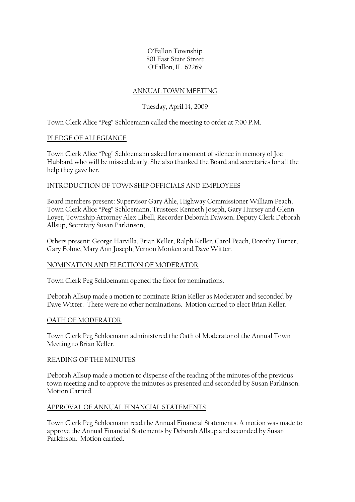O'Fallon Township 801 East State Street O'Fallon, IL 62269

### ANNUAL TOWN MEETING

# Tuesday, April 14, 2009

Town Clerk Alice "Peg" Schloemann called the meeting to order at 7:00 P.M.

## PLEDGE OF ALLEGIANCE

Town Clerk Alice "Peg" Schloemann asked for a moment of silence in memory of Joe Hubbard who will be missed dearly. She also thanked the Board and secretaries for all the help they gave her.

## INTRODUCTION OF TOWNSHIP OFFICIALS AND EMPLOYEES

Board members present: Supervisor Gary Ahle, Highway Commissioner William Peach, Town Clerk Alice "Peg" Schloemann, Trustees: Kenneth Joseph, Gary Hursey and Glenn Loyet, Township Attorney Alex Libell, Recorder Deborah Dawson, Deputy Clerk Deborah Allsup, Secretary Susan Parkinson,

Others present: George Harvilla, Brian Keller, Ralph Keller, Carol Peach, Dorothy Turner, Gary Fohne, Mary Ann Joseph, Vernon Monken and Dave Witter.

### NOMINATION AND ELECTION OF MODERATOR

Town Clerk Peg Schloemann opened the floor for nominations.

Deborah Allsup made a motion to nominate Brian Keller as Moderator and seconded by Dave Witter. There were no other nominations. Motion carried to elect Brian Keller.

### OATH OF MODERATOR

Town Clerk Peg Schloemann administered the Oath of Moderator of the Annual Town Meeting to Brian Keller.

### READING OF THE MINUTES

Deborah Allsup made a motion to dispense of the reading of the minutes of the previous town meeting and to approve the minutes as presented and seconded by Susan Parkinson. Motion Carried.

## APPROVAL OF ANNUAL FINANCIAL STATEMENTS

Town Clerk Peg Schloemann read the Annual Financial Statements. A motion was made to approve the Annual Financial Statements by Deborah Allsup and seconded by Susan Parkinson. Motion carried.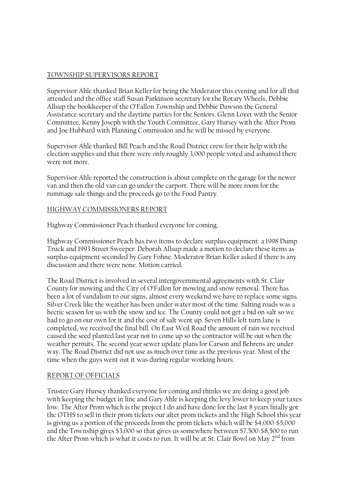## TOWNSHIP SUPERVISORS REPORT

Supervisor Ahle thanked Brian Keller for being the Moderator this evening and for all that attended and the office staff Susan Parkinson secretary for the Rotary Wheels, Debbie Allsup the bookkeeper of the O'Fallon Township and Debbie Dawson the General Assistance secretary and the daytime parties for the Seniors. Glenn Loyet with the Senior Committee, Kenny Joseph with the Youth Committee, Gary Hursey with the After Prom and Joe Hubbard with Planning Commission and he will be missed by everyone.

Supervisor Ahle thanked Bill Peach and the Road District crew for their help with the election supplies and that there were only roughly 3,000 people voted and ashamed there were not more.

Supervisor Ahle reported the construction is about complete on the garage for the newer van and then the old van can go under the carport. There will be more room for the rummage sale things and the proceeds go to the Food Pantry.

## HIGHWAY COMMISSIONERS REPORT

Highway Commissioner Peach thanked everyone for coming.

Highway Commissioner Peach has two items to declare surplus equipment: a 1998 Dump Truck and 1993 Street Sweeper. Deborah Allsup made a motion to declare these items as surplus equipment seconded by Gary Fohne. Moderator Brian Keller asked if there is any discussion and there were none. Motion carried.

The Road District is involved in several intergovernmental agreements with St. Clair County for mowing and the City of O'Fallon for mowing and snow removal. There has been a lot of vandalism to our signs, almost every weekend we have to replace some signs. Silver Creek like the weather has been under water most of the time. Salting roads was a hectic season for us with the snow and ice. The County could not get a bid on salt so we had to go on our own for it and the cost of salt went up. Seven Hills left turn lane is completed, we received the final bill. On East Weil Road the amount of rain we received caused the seed planted last year not to come up so the contractor will be out when the weather permits. The second year sewer update plans for Carson and Behrens are under way. The Road District did not use as much over time as the previous year. Most of the time when the guys went out it was during regular working hours.

### REPORT OF OFFICIALS

Trustee Gary Hursey thanked everyone for coming and thinks we are doing a good job with keeping the budget in line and Gary Ahle is keeping the levy lower to keep your taxes low. The After Prom which is the project I do and have done for the last 8 years finally got the OTHS to sell in their prom tickets our after prom tickets and the High School this year is giving us a portion of the proceeds from the prom tickets which will be \$4,000-\$5,000 and the Township gives \$3,000 so that gives us somewhere between \$7,500-\$8,500 to run the After Prom which is what it costs to run. It will be at St. Clair Bowl on May 2<sup>nd</sup> from